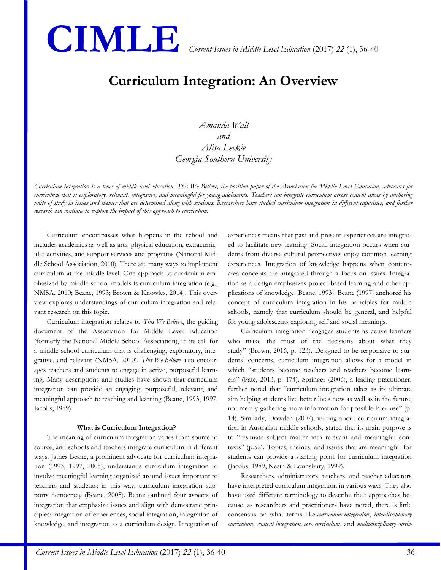

# **Curriculum Integration: An Overview**

*Amanda Wall and Alisa Leckie Georgia Southern University*

*Curriculum integration is a tenet of middle level education. This We Believe, the position paper of the Association for Middle Level Education, advocates for curriculum that is exploratory, relevant, integrative, and meaningful for young adolescents. Teachers can integrate curriculum across content areas by anchoring units of study in issues and themes that are determined along with students. Researchers have studied curriculum integration in different capacities, and further research can continue to explore the impact of this approach to curriculum.*

Curriculum encompasses what happens in the school and includes academics as well as arts, physical education, extracurricular activities, and support services and programs (National Middle School Association, 2010). There are many ways to implement curriculum at the middle level. One approach to curriculum emphasized by middle school models is curriculum integration (e.g., NMSA, 2010; Beane, 1993; Brown & Knowles, 2014). This overview explores understandings of curriculum integration and relevant research on this topic.

Curriculum integration relates to *This We Believe*, the guiding document of the Association for Middle Level Education (formerly the National Middle School Association), in its call for a middle school curriculum that is challenging, exploratory, integrative, and relevant (NMSA, 2010). *This We Believe* also encourages teachers and students to engage in active, purposeful learning. Many descriptions and studies have shown that curriculum integration can provide an engaging, purposeful, relevant, and meaningful approach to teaching and learning (Beane, 1993, 1997; Jacobs, 1989).

#### **What is Curriculum Integration?**

The meaning of curriculum integration varies from source to source, and schools and teachers integrate curriculum in different ways. James Beane, a prominent advocate for curriculum integration (1993, 1997, 2005), understands curriculum integration to involve meaningful learning organized around issues important to teachers and students; in this way, curriculum integration supports democracy (Beane, 2005). Beane outlined four aspects of integration that emphasize issues and align with democratic principles: integration of experiences, social integration, integration of knowledge, and integration as a curriculum design. Integration of experiences means that past and present experiences are integrated to facilitate new learning. Social integration occurs when students from diverse cultural perspectives enjoy common learning experiences. Integration of knowledge happens when contentarea concepts are integrated through a focus on issues. Integration as a design emphasizes project-based learning and other applications of knowledge (Beane, 1993). Beane (1997) anchored his concept of curriculum integration in his principles for middle schools, namely that curriculum should be general, and helpful for young adolescents exploring self and social meanings.

Curriculum integration "engages students as active learners who make the most of the decisions about what they study" (Brown, 2016, p. 123). Designed to be responsive to students' concerns, curriculum integration allows for a model in which "students become teachers and teachers become learners" (Pate, 2013, p. 174). Springer (2006), a leading practitioner, further noted that "curriculum integration takes as its ultimate aim helping students live better lives now as well as in the future, not merely gathering more information for possible later use" (p. 14). Similarly, Dowden (2007), writing about curriculum integration in Australian middle schools, stated that its main purpose is to "resituate subject matter into relevant and meaningful contexts" (p.52). Topics, themes, and issues that are meaningful for students can provide a starting point for curriculum integration (Jacobs, 1989; Nesin & Lounsbury, 1999).

Researchers, administrators, teachers, and teacher educators have interpreted curriculum integration in various ways. They also have used different terminology to describe their approaches because, as researchers and practitioners have noted, there is little consensus on what terms like *curriculum integration*, *interdisciplinary curriculum*, *content integration, core curriculum*, and *multidisciplinary curric-*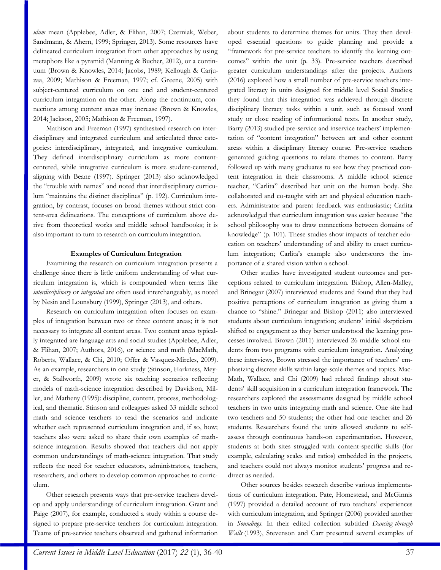*ulum* mean (Applebee, Adler, & Flihan, 2007; Czerniak, Weber, Sandmann, & Ahern, 1999; Springer, 2013). Some resources have delineated curriculum integration from other approaches by using metaphors like a pyramid (Manning & Bucher, 2012), or a continuum (Brown & Knowles, 2014; Jacobs, 1989; Kellough & Carjuzaa, 2009; Mathison & Freeman, 1997; cf. Greene, 2005) with subject-centered curriculum on one end and student-centered curriculum integration on the other. Along the continuum, connections among content areas may increase (Brown & Knowles, 2014; Jackson, 2005; Mathison & Freeman, 1997).

Mathison and Freeman (1997) synthesized research on interdisciplinary and integrated curriculum and articulated three categories: interdisciplinary, integrated, and integrative curriculum. They defined interdisciplinary curriculum as more contentcentered, while integrative curriculum is more student-centered, aligning with Beane (1997). Springer (2013) also acknowledged the "trouble with names" and noted that interdisciplinary curriculum "maintains the distinct disciplines" (p. 192). Curriculum integration, by contrast, focuses on broad themes without strict content-area delineations. The conceptions of curriculum above derive from theoretical works and middle school handbooks; it is also important to turn to research on curriculum integration.

### **Examples of Curriculum Integration**

Examining the research on curriculum integration presents a challenge since there is little uniform understanding of what curriculum integration is, which is compounded when terms like *interdisciplinary* or *integrated* are often used interchangeably, as noted by Nesin and Lounsbury (1999), Springer (2013), and others.

Research on curriculum integration often focuses on examples of integration between two or three content areas; it is not necessary to integrate all content areas. Two content areas typically integrated are language arts and social studies (Applebee, Adler, & Flihan, 2007; Authors, 2016), or science and math (MacMath, Roberts, Wallace, & Chi, 2010; Offer & Vasquez-Mireles, 2009). As an example, researchers in one study (Stinson, Harkness, Meyer, & Stallworth, 2009) wrote six teaching scenarios reflecting models of math-science integration described by Davidson, Miller, and Matheny (1995): discipline, content, process, methodological, and thematic. Stinson and colleagues asked 33 middle school math and science teachers to read the scenarios and indicate whether each represented curriculum integration and, if so, how; teachers also were asked to share their own examples of mathscience integration. Results showed that teachers did not apply common understandings of math-science integration. That study reflects the need for teacher educators, administrators, teachers, researchers, and others to develop common approaches to curriculum.

Other research presents ways that pre-service teachers develop and apply understandings of curriculum integration. Grant and Paige (2007), for example, conducted a study within a course designed to prepare pre-service teachers for curriculum integration. Teams of pre-service teachers observed and gathered information about students to determine themes for units. They then developed essential questions to guide planning and provide a "framework for pre-service teachers to identify the learning outcomes" within the unit (p. 33). Pre-service teachers described greater curriculum understandings after the projects. Authors (2016) explored how a small number of pre-service teachers integrated literacy in units designed for middle level Social Studies; they found that this integration was achieved through discrete disciplinary literacy tasks within a unit, such as focused word study or close reading of informational texts. In another study, Barry (2013) studied pre-service and inservice teachers' implementation of "content integration" between art and other content areas within a disciplinary literacy course. Pre-service teachers generated guiding questions to relate themes to content. Barry followed up with many graduates to see how they practiced content integration in their classrooms. A middle school science teacher, "Carlita" described her unit on the human body. She collaborated and co-taught with art and physical education teachers. Administrator and parent feedback was enthusiastic; Carlita acknowledged that curriculum integration was easier because "the school philosophy was to draw connections between domains of knowledge" (p. 101). These studies show impacts of teacher education on teachers' understanding of and ability to enact curriculum integration; Carlita's example also underscores the importance of a shared vision within a school.

Other studies have investigated student outcomes and perceptions related to curriculum integration. Bishop, Allen-Malley, and Brinegar (2007) interviewed students and found that they had positive perceptions of curriculum integration as giving them a chance to "shine." Brinegar and Bishop (2011) also interviewed students about curriculum integration; students' initial skepticism shifted to engagement as they better understood the learning processes involved. Brown (2011) interviewed 26 middle school students from two programs with curriculum integration. Analyzing these interviews, Brown stressed the importance of teachers' emphasizing discrete skills within large-scale themes and topics. Mac-Math, Wallace, and Chi (2009) had related findings about students' skill acquisition in a curriculum integration framework. The researchers explored the assessments designed by middle school teachers in two units integrating math and science. One site had two teachers and 50 students; the other had one teacher and 26 students. Researchers found the units allowed students to selfassess through continuous hands-on experimentation. However, students at both sites struggled with content-specific skills (for example, calculating scales and ratios) embedded in the projects, and teachers could not always monitor students' progress and redirect as needed.

Other sources besides research describe various implementations of curriculum integration. Pate, Homestead, and McGinnis (1997) provided a detailed account of two teachers' experiences with curriculum integration, and Springer (2006) provided another in *Soundings*. In their edited collection subtitled *Dancing through Walls* (1993), Stevenson and Carr presented several examples of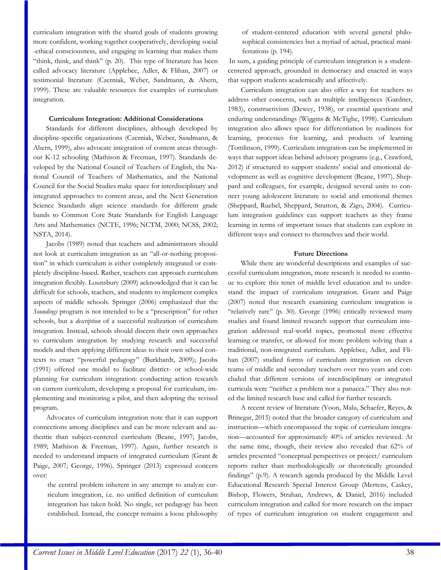curriculum integration with the shared goals of students growing more confident, working together cooperatively, developing social -ethical consciousness, and engaging in learning that makes them "think, think, and think" (p. 20). This type of literature has been called advocacy literature (Applebee, Adler, & Flihan, 2007) or testimonial literature (Czerniak, Weber, Sandmann, & Ahern, 1999). These are valuable resources for examples of curriculum integration.

#### **Curriculum Integration: Additional Considerations**

Standards for different disciplines, although developed by discipline-specific organizations (Czerniak, Weber, Sandmann, & Ahern, 1999), also advocate integration of content areas throughout K-12 schooling (Mathison & Freeman, 1997). Standards developed by the National Council of Teachers of English, the National Council of Teachers of Mathematics, and the National Council for the Social Studies make space for interdisciplinary and integrated approaches to content areas, and the Next Generation Science Standards align science standards for different grade bands to Common Core State Standards for English Language Arts and Mathematics (NCTE, 1996; NCTM, 2000; NCSS, 2002; NSTA, 2014).

Jacobs (1989) noted that teachers and administrators should not look at curriculum integration as an "all-or-nothing proposition" in which curriculum is either completely integrated or completely discipline-based. Rather, teachers can approach curriculum integration flexibly. Lounsbury (2009) acknowledged that it can be difficult for schools, teachers, and students to implement complex aspects of middle schools. Springer (2006) emphasized that the *Soundings* program is not intended to be a "prescription" for other schools, but a *description* of a successful realization of curriculum integration. Instead, schools should discern their own approaches to curriculum integration by studying research and successful models and then applying different ideas to their own school contexts to enact "powerful pedagogy" (Burkhardt, 2009); Jacobs (1991) offered one model to facilitate district- or school-wide planning for curriculum integration: conducting action research on current curriculum, developing a proposal for curriculum, implementing and monitoring a pilot, and then adopting the revised program.

Advocates of curriculum integration note that it can support connections among disciplines and can be more relevant and authentic than subject-centered curriculum (Beane, 1997; Jacobs, 1989; Mathison & Freeman, 1997). Again, further research is needed to understand impacts of integrated curriculum (Grant & Paige, 2007; George, 1996). Springer (2013) expressed concern over:

the central problem inherent in any attempt to analyze curriculum integration, i.e. no unified definition of curriculum integration has taken hold. No single, set pedagogy has been established. Instead, the concept remains a loose philosophy of student-centered education with several general philosophical consistencies but a myriad of actual, practical manifestations (p. 194).

In sum, a guiding principle of curriculum integration is a studentcentered approach, grounded in democracy and enacted in ways that support students academically and affectively.

Curriculum integration can also offer a way for teachers to address other concerns, such as multiple intelligences (Gardner, 1983), constructivism (Dewey, 1938), or essential questions and enduring understandings (Wiggins & McTighe, 1998). Curriculum integration also allows space for differentiation by readiness for learning, processes for learning, and products of learning (Tomlinson, 1999). Curriculum integration can be implemented in ways that support ideas behind advisory programs (e.g., Crawford, 2012) if structured to support students' social and emotional development as well as cognitive development (Beane, 1997). Sheppard and colleagues, for example, designed several units to connect young adolescent literature to social and emotional themes (Sheppard, Ruebel, Sheppard, Stratton, & Zigo, 2004). Curriculum integration guidelines can support teachers as they frame learning in terms of important issues that students can explore in different ways and connect to themselves and their world.

## **Future Directions**

While there are wonderful descriptions and examples of successful curriculum integration, more research is needed to continue to explore this tenet of middle level education and to understand the impact of curriculum integration. Grant and Paige (2007) noted that research examining curriculum integration is "relatively rare" (p. 30). George (1996) critically reviewed many studies and found limited research support that curriculum integration addressed real-world topics, promoted more effective learning or transfer, or allowed for more problem solving than a traditional, non-integrated curriculum. Applebee, Adler, and Flihan (2007) studied forms of curriculum integration on eleven teams of middle and secondary teachers over two years and concluded that different versions of interdisciplinary or integrated curricula were "neither a problem nor a panacea." They also noted the limited research base and called for further research.

A recent review of literature (Yoon, Malu, Schaefer, Reyes, & Brinegar, 2015) noted that the broader category of curriculum and instruction—which encompassed the topic of curriculum integration—accounted for approximately 40% of articles reviewed. At the same time, though, their review also revealed that 62% of articles presented "conceptual perspectives or project/ curriculum reports rather than methodologically or theoretically grounded findings" (p.9). A research agenda produced by the Middle Level Educational Research Special Interest Group (Mertens, Caskey, Bishop, Flowers, Strahan, Andrews, & Daniel, 2016) included curriculum integration and called for more research on the impact of types of curriculum integration on student engagement and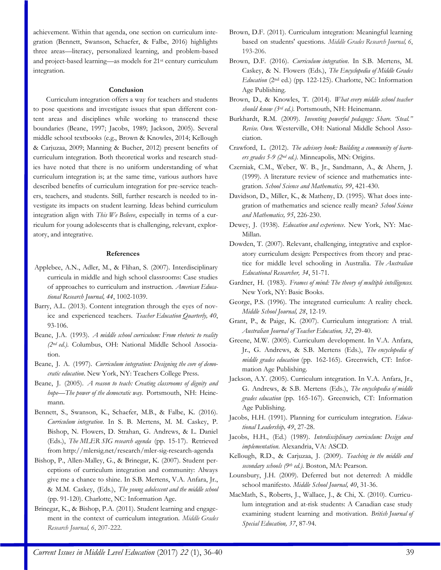achievement. Within that agenda, one section on curriculum integration (Bennett, Swanson, Schaefer, & Falbe, 2016) highlights three areas—literacy, personalized learning, and problem-based and project-based learning—as models for 21st century curriculum integration.

#### **Conclusion**

Curriculum integration offers a way for teachers and students to pose questions and investigate issues that span different content areas and disciplines while working to transcend these boundaries (Beane, 1997; Jacobs, 1989; Jackson, 2005). Several middle school textbooks (e.g., Brown & Knowles, 2014; Kellough & Carjuzaa, 2009; Manning & Bucher, 2012) present benefits of curriculum integration. Both theoretical works and research studies have noted that there is no uniform understanding of what curriculum integration is; at the same time, various authors have described benefits of curriculum integration for pre-service teachers, teachers, and students. Still, further research is needed to investigate its impacts on student learning. Ideas behind curriculum integration align with *This We Believe*, especially in terms of a curriculum for young adolescents that is challenging, relevant, exploratory, and integrative.

## **References**

- Applebee, A.N., Adler, M., & Flihan, S. (2007). Interdisciplinary curricula in middle and high school classrooms: Case studies of approaches to curriculum and instruction. *American Educational Research Journal, 44*, 1002-1039.
- Barry, A.L. (2013). Content integration through the eyes of novice and experienced teachers. *Teacher Education Quarterly, 40*, 93-106.
- Beane, J.A. (1993). *A middle school curriculum: From rhetoric to reality (2nd ed.).* Columbus, OH: National Middle School Association.
- Beane, J. A. (1997). *Curriculum integration: Designing the core of democratic education*. New York, NY: Teachers College Press.
- Beane, J. (2005). *A reason to teach: Creating classrooms of dignity and hope—The power of the democratic way.* Portsmouth, NH: Heinemann.
- Bennett, S., Swanson, K., Schaefer, M.B., & Falbe, K. (2016). *Curriculum integration*. In S. B. Mertens, M. M. Caskey, P. Bishop, N. Flowers, D. Strahan, G. Andrews, & L. Daniel (Eds.), *The MLER SIG research agenda* (pp. 15-17). Retrieved from http://mlersig.net/research/mler-sig-research-agenda
- Bishop, P., Allen-Malley, G., & Brinegar, K. (2007). Student perceptions of curriculum integration and community: Always give me a chance to shine. In S.B. Mertens, V.A. Anfara, Jr., & M.M. Caskey, (Eds.), *The young adolescent and the middle school*  (pp. 91-120). Charlotte, NC: Information Age.
- Brinegar, K., & Bishop, P.A. (2011). Student learning and engagement in the context of curriculum integration. *Middle Grades Research Journal, 6*, 207-222.
- Brown, D.F. (2011). Curriculum integration: Meaningful learning based on students' questions. *Middle Grades Research Journal, 6*, 193-206.
- Brown, D.F. (2016). *Curriculum integration*. In S.B. Mertens, M. Caskey, & N. Flowers (Eds.), *The Encyclopedia of Middle Grades Education* (2nd ed.) (pp. 122-125). Charlotte, NC: Information Age Publishing.
- Brown, D., & Knowles, T. (2014). *What every middle school teacher should know (3rd ed.).* Portsmouth, NH: Heinemann.
- Burkhardt, R.M. (2009). *Inventing powerful pedagogy: Share. 'Steal." Revise. Own.* Westerville, OH: National Middle School Association.
- Crawford, L. (2012). *The advisory book: Building a community of learners grades 5-9 (2nd ed.)*. Minneapolis, MN: Origins.
- Czerniak, C.M., Weber, W. B., Jr., Sandmann, A., & Ahern, J. (1999). A literature review of science and mathematics integration. *School Science and Mathematics, 99*, 421-430.
- Davidson, D., Miller, K., & Matheny, D. (1995). What does integration of mathematics and science really mean? *School Science and Mathematics, 95*, 226-230.
- Dewey, J. (1938). *Education and experience*. New York, NY: Mac-Millan.
- Dowden, T. (2007). Relevant, challenging, integrative and exploratory curriculum design: Perspectives from theory and practice for middle level schooling in Australia. *The Australian Educational Researcher, 34*, 51-71.
- Gardner, H. (1983). *Frames of mind: The theory of multiple intelligences.* New York, NY: Basic Books.
- George, P.S. (1996). The integrated curriculum: A reality check. *Middle School Journal, 28*, 12-19.
- Grant, P., & Paige, K. (2007). Curriculum integration: A trial. *Australian Journal of Teacher Education, 32*, 29-40.
- Greene, M.W. (2005). Curriculum development. In V.A. Anfara, Jr., G. Andrews, & S.B. Mertens (Eds.), *The encyclopedia of middle grades education* (pp. 162-165). Greenwich, CT: Information Age Publishing.
- Jackson, A.Y. (2005). Curriculum integration. In V.A. Anfara, Jr., G. Andrews, & S.B. Mertens (Eds.), *The encyclopedia of middle grades education* (pp. 165-167). Greenwich, CT: Information Age Publishing.
- Jacobs, H.H. (1991). Planning for curriculum integration. *Educational Leadership, 49*, 27-28.
- Jacobs, H.H., (Ed.) (1989). *Interdisciplinary curriculum: Design and implementation*. Alexandria, VA: ASCD.
- Kellough, R.D., & Carjuzaa, J. (2009). *Teaching in the middle and secondary schools (9th ed.).* Boston, MA: Pearson.
- Lounsbury, J.H. (2009). Deferred but not deterred: A middle school manifesto. *Middle School Journal, 40*, 31-36.
- MacMath, S., Roberts, J., Wallace, J., & Chi, X. (2010). Curriculum integration and at-risk students: A Canadian case study examining student learning and motivation. *British Journal of Special Education, 37*, 87-94.